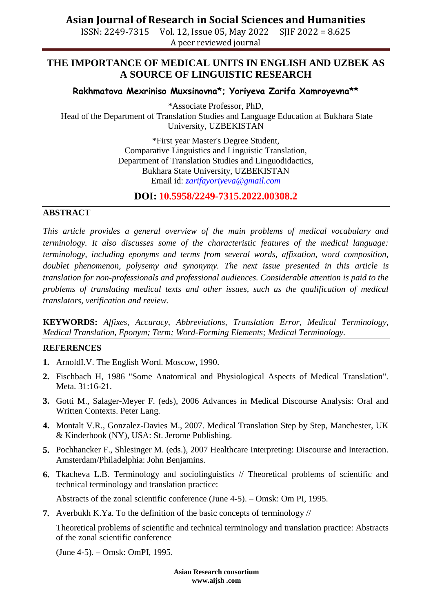**Asian Journal of Research in Social Sciences and Humanities**

ISSN: 2249-7315 Vol. 12, Issue 05, May 2022 SJIF 2022 = 8.625 A peer reviewed journal

# **THE IMPORTANCE OF MEDICAL UNITS IN ENGLISH AND UZBEK AS A SOURCE OF LINGUISTIC RESEARCH**

### **Rakhmatova Mexriniso Muxsinovna\*; Yoriyeva Zarifa Xamroyevna\*\***

\*Associate Professor, PhD, Head of the Department of Translation Studies and Language Education at Bukhara State University, UZBEKISTAN

> \*First year Master's Degree Student, Comparative Linguistics and Linguistic Translation, Department of Translation Studies and Linguodidactics, Bukhara State University, UZBEKISTAN Email id: *[zarifayoriyeva@gmail.com](mailto:zarifayoriyeva@gmail.com)*

**DOI: 10.5958/2249-7315.2022.00308.2**

#### **ABSTRACT**

*This article provides a general overview of the main problems of medical vocabulary and terminology. It also discusses some of the characteristic features of the medical language: terminology, including eponyms and terms from several words, affixation, word composition, doublet phenomenon, polysemy and synonymy. The next issue presented in this article is translation for non-professionals and professional audiences. Considerable attention is paid to the problems of translating medical texts and other issues, such as the qualification of medical translators, verification and review.*

**KEYWORDS:** *Affixes, Accuracy, Abbreviations, Translation Error, Medical Terminology, Medical Translation, Eponym; Term; Word-Forming Elements; Medical Terminology.*

#### **REFERENCES**

- **1.** ArnoldI.V. The English Word. Moscow, 1990.
- **2.** Fischbach H, 1986 "Some Anatomical and Physiological Aspects of Medical Translation". Meta. 31:16-21.
- **3.** Gotti M., Salager-Meyer F. (eds), 2006 Advances in Medical Discourse Analysis: Oral and Written Contexts. Peter Lang.
- **4.** Montalt V.R., Gonzalez-Davies M., 2007. Medical Translation Step by Step, Manchester, UK & Kinderhook (NY), USA: St. Jerome Publishing.
- **5.** Pochhancker F., Shlesinger M. (eds.), 2007 Healthcare Interpreting: Discourse and Interaction. Amsterdam/Philadelphia: John Benjamins.
- **6.** Tkacheva L.B. Terminology and sociolinguistics // Theoretical problems of scientific and technical terminology and translation practice:

Abstracts of the zonal scientific conference (June 4-5). – Omsk: Om PI, 1995.

**7.** Averbukh K.Ya. To the definition of the basic concepts of terminology //

Theoretical problems of scientific and technical terminology and translation practice: Abstracts of the zonal scientific conference

(June 4-5). – Omsk: OmPI, 1995.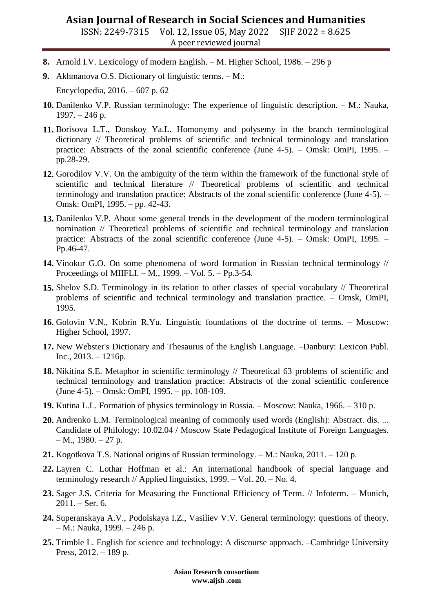## **Asian Journal of Research in Social Sciences and Humanities**

ISSN: 2249-7315 Vol. 12, Issue 05, May 2022 SJIF 2022 = 8.625 A peer reviewed journal

- **8.** Arnold I.V. Lexicology of modern English. M. Higher School, 1986. 296 p
- **9.** Akhmanova O.S. Dictionary of linguistic terms. M.:

Encyclopedia, 2016. – 607 p. 62

- **10.** Danilenko V.P. Russian terminology: The experience of linguistic description. M.: Nauka, 1997. – 246 p.
- **11.** Borisova L.T., Donskoy Ya.L. Homonymy and polysemy in the branch terminological dictionary // Theoretical problems of scientific and technical terminology and translation practice: Abstracts of the zonal scientific conference (June 4-5). – Omsk: OmPI, 1995. – pp.28-29.
- **12.** Gorodilov V.V. On the ambiguity of the term within the framework of the functional style of scientific and technical literature // Theoretical problems of scientific and technical terminology and translation practice: Abstracts of the zonal scientific conference (June 4-5). – Omsk: OmPI, 1995. – pp. 42-43.
- **13.** Danilenko V.P. About some general trends in the development of the modern terminological nomination // Theoretical problems of scientific and technical terminology and translation practice: Abstracts of the zonal scientific conference (June 4-5). – Omsk: OmPI, 1995. – Pp.46-47.
- **14.** Vinokur G.O. On some phenomena of word formation in Russian technical terminology // Proceedings of MIIFLI. – M., 1999. – Vol. 5. – Pp.3-54.
- **15.** Shelov S.D. Terminology in its relation to other classes of special vocabulary // Theoretical problems of scientific and technical terminology and translation practice. – Omsk, OmPI, 1995.
- **16.** Golovin V.N., Kobrin R.Yu. Linguistic foundations of the doctrine of terms. Moscow: Higher School, 1997.
- **17.** New Webster's Dictionary and Thesaurus of the English Language. –Danbury: Lexicon Publ. Inc., 2013. – 1216p.
- **18.** Nikitina S.E. Metaphor in scientific terminology // Theoretical 63 problems of scientific and technical terminology and translation practice: Abstracts of the zonal scientific conference (June 4-5). – Omsk: OmPI, 1995. – pp. 108-109.
- **19.** Kutina L.L. Formation of physics terminology in Russia. Moscow: Nauka, 1966. 310 p.
- **20.** Andrenko L.M. Terminological meaning of commonly used words (English): Abstract. dis. ... Candidate of Philology: 10.02.04 / Moscow State Pedagogical Institute of Foreign Languages.  $- M., 1980. - 27 p.$
- **21.** Kogotkova T.S. National origins of Russian terminology. M.: Nauka, 2011. 120 p.
- **22.** Layren C. Lothar Hoffman et al.: An international handbook of special language and terminology research // Applied linguistics, 1999. – Vol. 20. – No. 4.
- **23.** Sager J.S. Criteria for Measuring the Functional Efficiency of Term. // Infoterm. Munich, 2011. – Ser. 6.
- **24.** Superanskaya A.V., Podolskaya I.Z., Vasiliev V.V. General terminology: questions of theory. – M.: Nauka, 1999. – 246 p.
- **25.** Trimble L. English for science and technology: A discourse approach. –Cambridge University Press, 2012. – 189 p.

**Asian Research consortium www.aijsh .com**